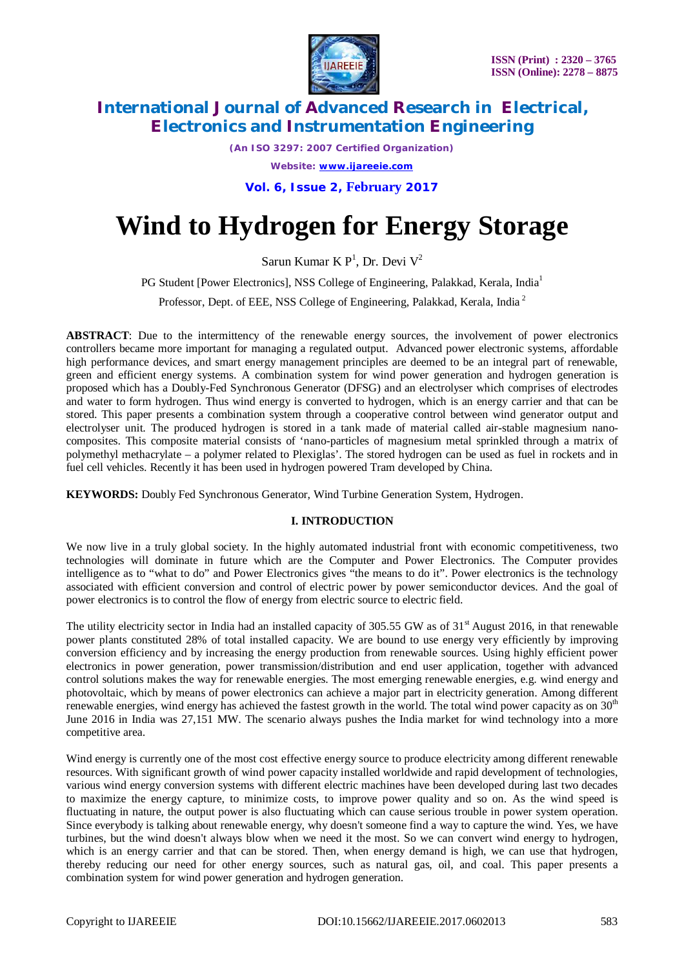

*(An ISO 3297: 2007 Certified Organization) Website: [www.ijareeie.com](http://www.ijareeie.com)*

**Vol. 6, Issue 2, February 2017**

# **Wind to Hydrogen for Energy Storage**

Sarun Kumar K  $P<sup>1</sup>$ , Dr. Devi  $V<sup>2</sup>$ 

PG Student [Power Electronics], NSS College of Engineering, Palakkad, Kerala, India<sup>1</sup>

Professor, Dept. of EEE, NSS College of Engineering, Palakkad, Kerala, India <sup>2</sup>

**ABSTRACT**: Due to the intermittency of the renewable energy sources, the involvement of power electronics controllers became more important for managing a regulated output. Advanced power electronic systems, affordable high performance devices, and smart energy management principles are deemed to be an integral part of renewable, green and efficient energy systems. A combination system for wind power generation and hydrogen generation is proposed which has a Doubly-Fed Synchronous Generator (DFSG) and an electrolyser which comprises of electrodes and water to form hydrogen. Thus wind energy is converted to hydrogen, which is an energy carrier and that can be stored. This paper presents a combination system through a cooperative control between wind generator output and electrolyser unit. The produced hydrogen is stored in a tank made of material called air-stable magnesium nanocomposites. This composite material consists of 'nano-particles of magnesium metal sprinkled through a matrix of polymethyl methacrylate – a polymer related to Plexiglas'. The stored hydrogen can be used as fuel in rockets and in fuel cell vehicles. Recently it has been used in hydrogen powered Tram developed by China.

**KEYWORDS:** Doubly Fed Synchronous Generator, Wind Turbine Generation System, Hydrogen.

# **I. INTRODUCTION**

We now live in a truly global society. In the highly automated industrial front with economic competitiveness, two technologies will dominate in future which are the Computer and Power Electronics. The Computer provides intelligence as to "what to do" and Power Electronics gives "the means to do it". Power electronics is the technology associated with efficient conversion and control of electric power by power semiconductor devices. And the goal of power electronics is to control the flow of energy from electric source to electric field.

The utility electricity sector in India had an installed capacity of 305.55 GW as of  $31<sup>st</sup>$  August 2016, in that renewable power plants constituted 28% of total installed capacity. We are bound to use energy very efficiently by improving conversion efficiency and by increasing the energy production from renewable sources. Using highly efficient power electronics in power generation, power transmission/distribution and end user application, together with advanced control solutions makes the way for renewable energies. The most emerging renewable energies, e.g. wind energy and photovoltaic, which by means of power electronics can achieve a major part in electricity generation. Among different renewable energies, wind energy has achieved the fastest growth in the world. The total wind power capacity as on  $30<sup>th</sup>$ June 2016 in India was 27,151 MW. The scenario always pushes the India market for wind technology into a more competitive area.

Wind energy is currently one of the most cost effective energy source to produce electricity among different renewable resources. With significant growth of wind power capacity installed worldwide and rapid development of technologies, various wind energy conversion systems with different electric machines have been developed during last two decades to maximize the energy capture, to minimize costs, to improve power quality and so on. As the wind speed is fluctuating in nature, the output power is also fluctuating which can cause serious trouble in power system operation. Since everybody is talking about renewable energy, why doesn't someone find a way to capture the wind. Yes, we have turbines, but the wind doesn't always blow when we need it the most. So we can convert wind energy to hydrogen, which is an energy carrier and that can be stored. Then, when energy demand is high, we can use that hydrogen, thereby reducing our need for other energy sources, such as natural gas, oil, and coal. This paper presents a combination system for wind power generation and hydrogen generation.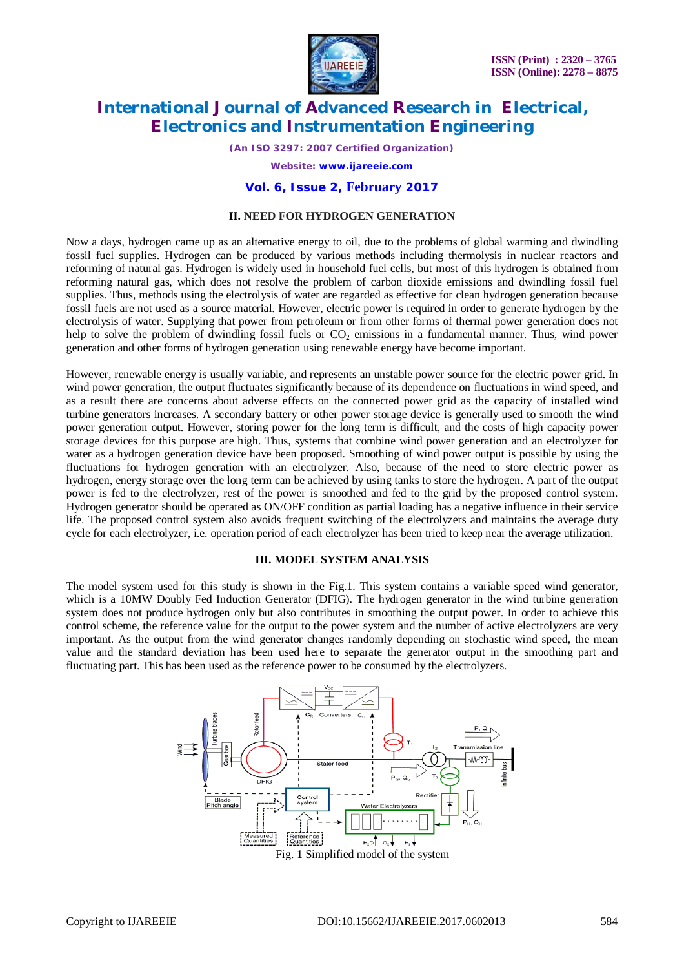

*(An ISO 3297: 2007 Certified Organization)*

*Website: [www.ijareeie.com](http://www.ijareeie.com)*

### **Vol. 6, Issue 2, February 2017**

### **II. NEED FOR HYDROGEN GENERATION**

Now a days, hydrogen came up as an alternative energy to oil, due to the problems of global warming and dwindling fossil fuel supplies. Hydrogen can be produced by various methods including thermolysis in nuclear reactors and reforming of natural gas. Hydrogen is widely used in household fuel cells, but most of this hydrogen is obtained from reforming natural gas, which does not resolve the problem of carbon dioxide emissions and dwindling fossil fuel supplies. Thus, methods using the electrolysis of water are regarded as effective for clean hydrogen generation because fossil fuels are not used as a source material. However, electric power is required in order to generate hydrogen by the electrolysis of water. Supplying that power from petroleum or from other forms of thermal power generation does not help to solve the problem of dwindling fossil fuels or CO<sub>2</sub> emissions in a fundamental manner. Thus, wind power generation and other forms of hydrogen generation using renewable energy have become important.

However, renewable energy is usually variable, and represents an unstable power source for the electric power grid. In wind power generation, the output fluctuates significantly because of its dependence on fluctuations in wind speed, and as a result there are concerns about adverse effects on the connected power grid as the capacity of installed wind turbine generators increases. A secondary battery or other power storage device is generally used to smooth the wind power generation output. However, storing power for the long term is difficult, and the costs of high capacity power storage devices for this purpose are high. Thus, systems that combine wind power generation and an electrolyzer for water as a hydrogen generation device have been proposed. Smoothing of wind power output is possible by using the fluctuations for hydrogen generation with an electrolyzer. Also, because of the need to store electric power as hydrogen, energy storage over the long term can be achieved by using tanks to store the hydrogen. A part of the output power is fed to the electrolyzer, rest of the power is smoothed and fed to the grid by the proposed control system. Hydrogen generator should be operated as ON/OFF condition as partial loading has a negative influence in their service life. The proposed control system also avoids frequent switching of the electrolyzers and maintains the average duty cycle for each electrolyzer, i.e. operation period of each electrolyzer has been tried to keep near the average utilization.

#### **III. MODEL SYSTEM ANALYSIS**

The model system used for this study is shown in the Fig.1. This system contains a variable speed wind generator, which is a 10MW Doubly Fed Induction Generator (DFIG). The hydrogen generator in the wind turbine generation system does not produce hydrogen only but also contributes in smoothing the output power. In order to achieve this control scheme, the reference value for the output to the power system and the number of active electrolyzers are very important. As the output from the wind generator changes randomly depending on stochastic wind speed, the mean value and the standard deviation has been used here to separate the generator output in the smoothing part and fluctuating part. This has been used as the reference power to be consumed by the electrolyzers.

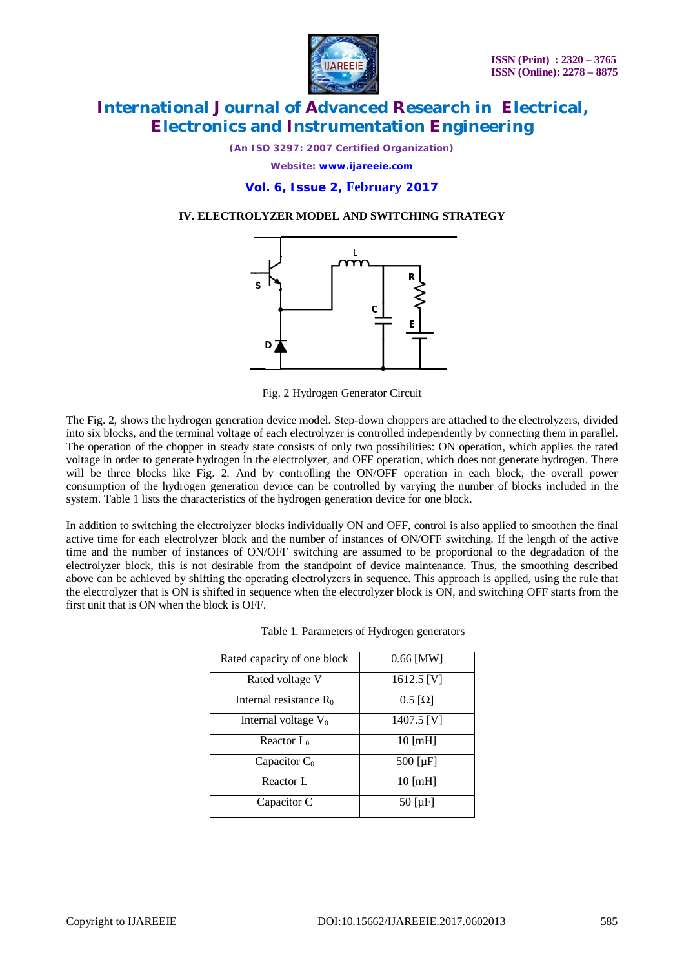

*(An ISO 3297: 2007 Certified Organization) Website: [www.ijareeie.com](http://www.ijareeie.com)*

**Vol. 6, Issue 2, February 2017**

### **IV. ELECTROLYZER MODEL AND SWITCHING STRATEGY**



Fig. 2 Hydrogen Generator Circuit

The Fig. 2, shows the hydrogen generation device model. Step-down choppers are attached to the electrolyzers, divided into six blocks, and the terminal voltage of each electrolyzer is controlled independently by connecting them in parallel. The operation of the chopper in steady state consists of only two possibilities: ON operation, which applies the rated voltage in order to generate hydrogen in the electrolyzer, and OFF operation, which does not generate hydrogen. There will be three blocks like Fig. 2. And by controlling the ON/OFF operation in each block, the overall power consumption of the hydrogen generation device can be controlled by varying the number of blocks included in the system. Table 1 lists the characteristics of the hydrogen generation device for one block.

In addition to switching the electrolyzer blocks individually ON and OFF, control is also applied to smoothen the final active time for each electrolyzer block and the number of instances of ON/OFF switching. If the length of the active time and the number of instances of ON/OFF switching are assumed to be proportional to the degradation of the electrolyzer block, this is not desirable from the standpoint of device maintenance. Thus, the smoothing described above can be achieved by shifting the operating electrolyzers in sequence. This approach is applied, using the rule that the electrolyzer that is ON is shifted in sequence when the electrolyzer block is ON, and switching OFF starts from the first unit that is ON when the block is OFF.

| Rated capacity of one block | $0.66$ [MW]                 |
|-----------------------------|-----------------------------|
| Rated voltage V             | 1612.5 [V]                  |
| Internal resistance $R_0$   | $0.5 \left[ \Omega \right]$ |
| Internal voltage $V_0$      | 1407.5 [V]                  |
| Reactor $L_0$               | $10$ [mH]                   |
| Capacitor $C_0$             | $500$ [ $\mu$ F]            |
| Reactor L                   | $10 \text{ [mH]}$           |
| Capacitor C                 | $50$ [ $\mu$ F]             |

|  |  | Table 1. Parameters of Hydrogen generators |  |
|--|--|--------------------------------------------|--|
|--|--|--------------------------------------------|--|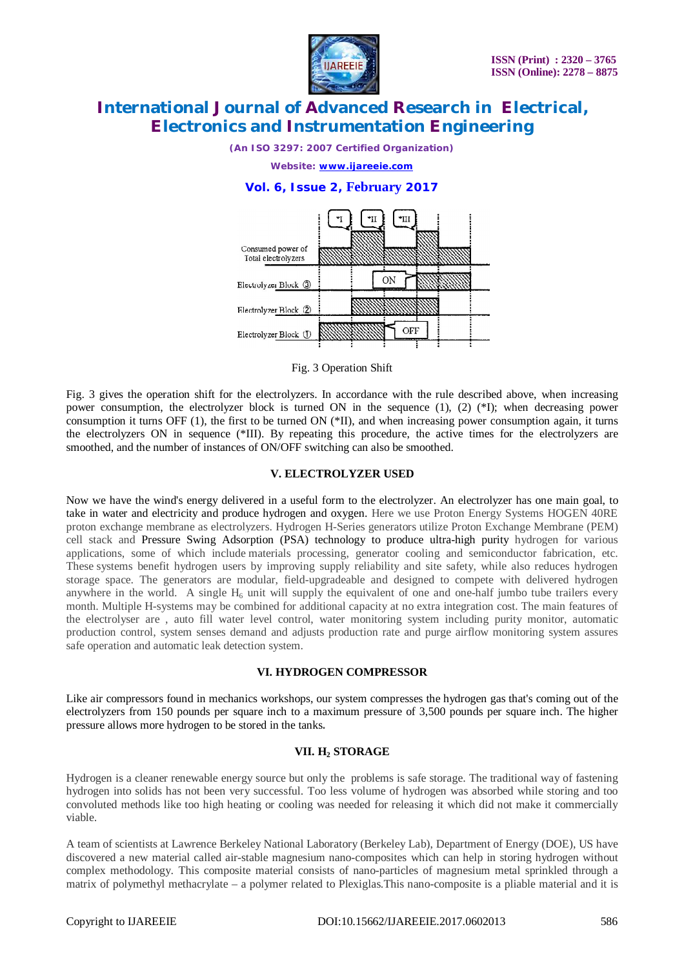

*(An ISO 3297: 2007 Certified Organization)*

*Website: [www.ijareeie.com](http://www.ijareeie.com)*

## **Vol. 6, Issue 2, February 2017**



Fig. 3 Operation Shift

Fig. 3 gives the operation shift for the electrolyzers. In accordance with the rule described above, when increasing power consumption, the electrolyzer block is turned ON in the sequence (1), (2) (\*I); when decreasing power consumption it turns OFF (1), the first to be turned ON (\*II), and when increasing power consumption again, it turns the electrolyzers ON in sequence (\*III). By repeating this procedure, the active times for the electrolyzers are smoothed, and the number of instances of ON/OFF switching can also be smoothed.

#### **V. ELECTROLYZER USED**

Now we have the wind's energy delivered in a useful form to the electrolyzer. An electrolyzer has one main goal, to take in water and electricity and produce hydrogen and oxygen. Here we use Proton Energy Systems HOGEN 40RE proton exchange membrane as electrolyzers. Hydrogen H-Series generators utilize Proton Exchange Membrane (PEM) cell stack and Pressure Swing Adsorption (PSA) technology to produce ultra-high purity hydrogen for various applications, some of which include materials processing, generator cooling and semiconductor fabrication, etc. These systems benefit hydrogen users by improving supply reliability and site safety, while also reduces hydrogen storage space. The generators are modular, field-upgradeable and designed to compete with delivered hydrogen anywhere in the world. A single  $H_6$  unit will supply the equivalent of one and one-half jumbo tube trailers every month. Multiple H-systems may be combined for additional capacity at no extra integration cost. The main features of the electrolyser are , auto fill water level control, water monitoring system including purity monitor, automatic production control, system senses demand and adjusts production rate and purge airflow monitoring system assures safe operation and automatic leak detection system.

#### **VI. HYDROGEN COMPRESSOR**

Like air compressors found in mechanics workshops, our system compresses the hydrogen gas that's coming out of the electrolyzers from 150 pounds per square inch to a maximum pressure of 3,500 pounds per square inch. The higher pressure allows more hydrogen to be stored in the tanks**.**

#### **VII. H<sup>2</sup> STORAGE**

Hydrogen is a cleaner renewable energy source but only the problems is safe storage. The traditional way of fastening hydrogen into solids has not been very successful. Too less volume of hydrogen was absorbed while storing and too convoluted methods like too high heating or cooling was needed for releasing it which did not make it commercially viable.

A team of scientists at Lawrence Berkeley National Laboratory (Berkeley Lab), Department of Energy (DOE), US have discovered a new material called air-stable magnesium nano-composites which can help in storing hydrogen without complex methodology. This composite material consists of nano-particles of magnesium metal sprinkled through a matrix of polymethyl methacrylate – a polymer related to Plexiglas.This nano-composite is a pliable material and it is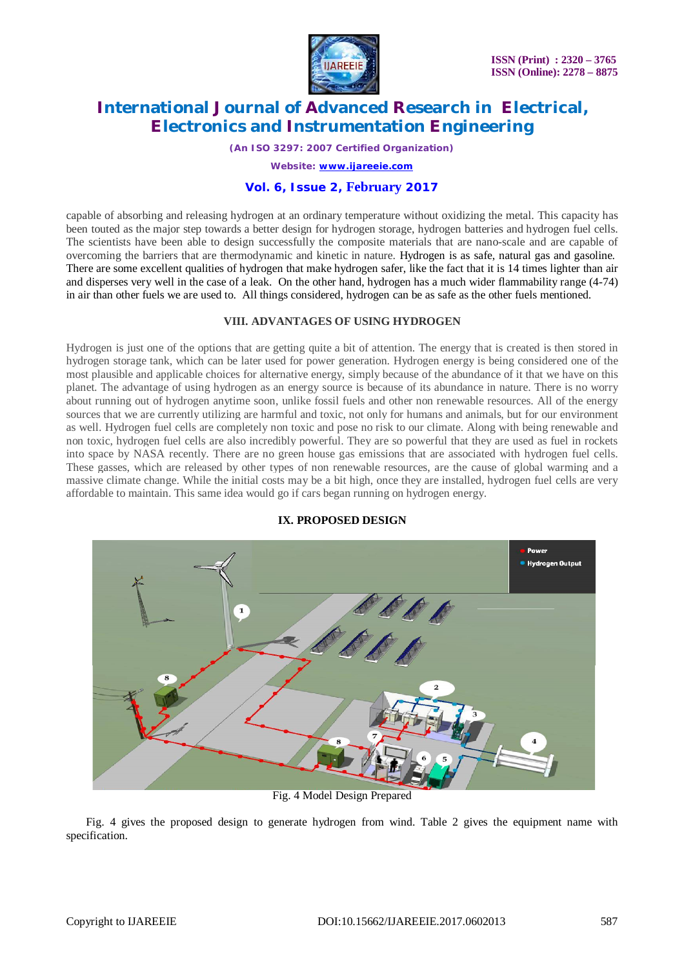

*(An ISO 3297: 2007 Certified Organization)*

*Website: [www.ijareeie.com](http://www.ijareeie.com)*

## **Vol. 6, Issue 2, February 2017**

capable of absorbing and releasing hydrogen at an ordinary temperature without oxidizing the metal. This capacity has been touted as the major step towards a better design for hydrogen storage, hydrogen batteries and hydrogen fuel cells. The scientists have been able to design successfully the composite materials that are nano-scale and are capable of overcoming the barriers that are thermodynamic and kinetic in nature. Hydrogen is as safe, natural gas and gasoline. There are some excellent qualities of hydrogen that make hydrogen safer, like the fact that it is 14 times lighter than air and disperses very well in the case of a leak. On the other hand, hydrogen has a much wider flammability range (4-74) in air than other fuels we are used to. All things considered, hydrogen can be as safe as the other fuels mentioned.

### **VIII. ADVANTAGES OF USING HYDROGEN**

Hydrogen is just one of the options that are getting quite a bit of attention. The energy that is created is then stored in hydrogen storage tank, which can be later used for power generation. Hydrogen energy is being considered one of the most plausible and applicable choices for alternative energy, simply because of the abundance of it that we have on this planet. The advantage of using hydrogen as an energy source is because of its abundance in nature. There is no worry about running out of hydrogen anytime soon, unlike fossil fuels and other non renewable resources. All of the energy sources that we are currently utilizing are harmful and toxic, not only for humans and animals, but for our environment as well. Hydrogen fuel cells are completely non toxic and pose no risk to our climate. Along with being renewable and non toxic, hydrogen fuel cells are also incredibly powerful. They are so powerful that they are used as fuel in rockets into space by NASA recently. There are no green house gas emissions that are associated with hydrogen fuel cells. These gasses, which are released by other types of non renewable resources, are the cause of global warming and a massive climate change. While the initial costs may be a bit high, once they are installed, hydrogen fuel cells are very affordable to maintain. This same idea would go if cars began running on hydrogen energy.



### **IX. PROPOSED DESIGN**

Fig. 4 Model Design Prepared

Fig. 4 gives the proposed design to generate hydrogen from wind. Table 2 gives the equipment name with specification.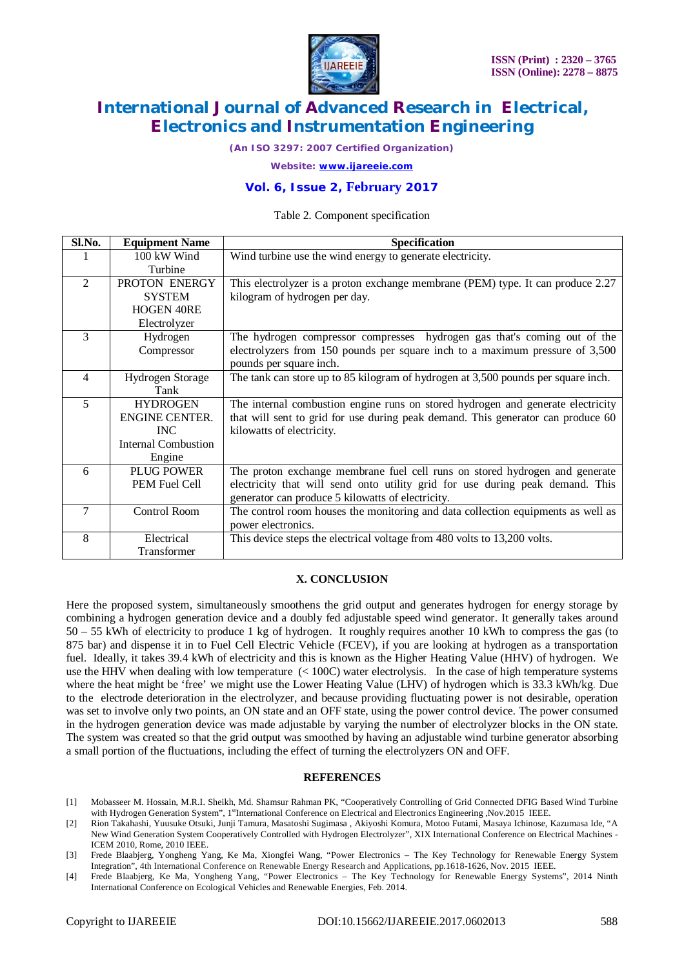

*(An ISO 3297: 2007 Certified Organization)*

*Website: [www.ijareeie.com](http://www.ijareeie.com)*

## **Vol. 6, Issue 2, February 2017**

#### Table 2. Component specification

| Sl.No.         | <b>Equipment Name</b>      | <b>Specification</b>                                                              |
|----------------|----------------------------|-----------------------------------------------------------------------------------|
|                | 100 kW Wind                | Wind turbine use the wind energy to generate electricity.                         |
|                | Turbine                    |                                                                                   |
| $\overline{2}$ | PROTON ENERGY              | This electrolyzer is a proton exchange membrane (PEM) type. It can produce 2.27   |
|                | <b>SYSTEM</b>              | kilogram of hydrogen per day.                                                     |
|                | <b>HOGEN 40RE</b>          |                                                                                   |
|                | Electrolyzer               |                                                                                   |
| 3              | Hydrogen                   | The hydrogen compressor compresses hydrogen gas that's coming out of the          |
|                | Compressor                 | electrolyzers from 150 pounds per square inch to a maximum pressure of 3,500      |
|                |                            | pounds per square inch.                                                           |
| 4              | Hydrogen Storage           | The tank can store up to 85 kilogram of hydrogen at 3,500 pounds per square inch. |
|                | Tank                       |                                                                                   |
| 5              | <b>HYDROGEN</b>            | The internal combustion engine runs on stored hydrogen and generate electricity   |
|                | ENGINE CENTER.             | that will sent to grid for use during peak demand. This generator can produce 60  |
|                | <b>INC</b>                 | kilowatts of electricity.                                                         |
|                | <b>Internal Combustion</b> |                                                                                   |
|                | Engine                     |                                                                                   |
| 6              | <b>PLUG POWER</b>          | The proton exchange membrane fuel cell runs on stored hydrogen and generate       |
|                | PEM Fuel Cell              | electricity that will send onto utility grid for use during peak demand. This     |
|                |                            | generator can produce 5 kilowatts of electricity.                                 |
| 7              | <b>Control Room</b>        | The control room houses the monitoring and data collection equipments as well as  |
|                |                            | power electronics.                                                                |
| 8              | Electrical                 | This device steps the electrical voltage from 480 volts to 13,200 volts.          |
|                | Transformer                |                                                                                   |

#### **X. CONCLUSION**

Here the proposed system, simultaneously smoothens the grid output and generates hydrogen for energy storage by combining a hydrogen generation device and a doubly fed adjustable speed wind generator. It generally takes around 50 – 55 kWh of electricity to produce 1 kg of hydrogen. It roughly requires another 10 kWh to compress the gas (to 875 bar) and dispense it in to Fuel Cell Electric Vehicle (FCEV), if you are looking at hydrogen as a transportation fuel. Ideally, it takes 39.4 kWh of electricity and this is known as the Higher Heating Value (HHV) of hydrogen. We use the HHV when dealing with low temperature (< 100C) water electrolysis. In the case of high temperature systems where the heat might be 'free' we might use the Lower Heating Value (LHV) of hydrogen which is 33.3 kWh/kg. Due to the electrode deterioration in the electrolyzer, and because providing fluctuating power is not desirable, operation was set to involve only two points, an ON state and an OFF state, using the power control device. The power consumed in the hydrogen generation device was made adjustable by varying the number of electrolyzer blocks in the ON state. The system was created so that the grid output was smoothed by having an adjustable wind turbine generator absorbing a small portion of the fluctuations, including the effect of turning the electrolyzers ON and OFF.

#### **REFERENCES**

- [1] Mobasseer M. Hossain, M.R.I. Sheikh, Md. Shamsur Rahman PK, "Cooperatively Controlling of Grid Connected DFIG Based Wind Turbine with Hydrogen Generation System", 1<sup>st</sup>International Conference on Electrical and Electronics Engineering ,Nov.2015 IEEE.
- [2] Rion Takahashi, Yuusuke Otsuki, Junji Tamura, Masatoshi Sugimasa , Akiyoshi Komura, Motoo Futami, Masaya Ichinose, Kazumasa Ide, "A New Wind Generation System Cooperatively Controlled with Hydrogen Electrolyzer", XIX International Conference on Electrical Machines - ICEM 2010, Rome, 2010 IEEE.
- [3] Frede Blaabjerg, Yongheng Yang, Ke Ma, Xiongfei Wang, "Power Electronics The Key Technology for Renewable Energy System Integration", 4th International Conference on Renewable Energy Research and Applications, pp.1618-1626, Nov. 2015 IEEE.
- [4] Frede Blaabjerg, Ke Ma, Yongheng Yang, "Power Electronics The Key Technology for Renewable Energy Systems", 2014 Ninth International Conference on Ecological Vehicles and Renewable Energies, Feb. 2014.